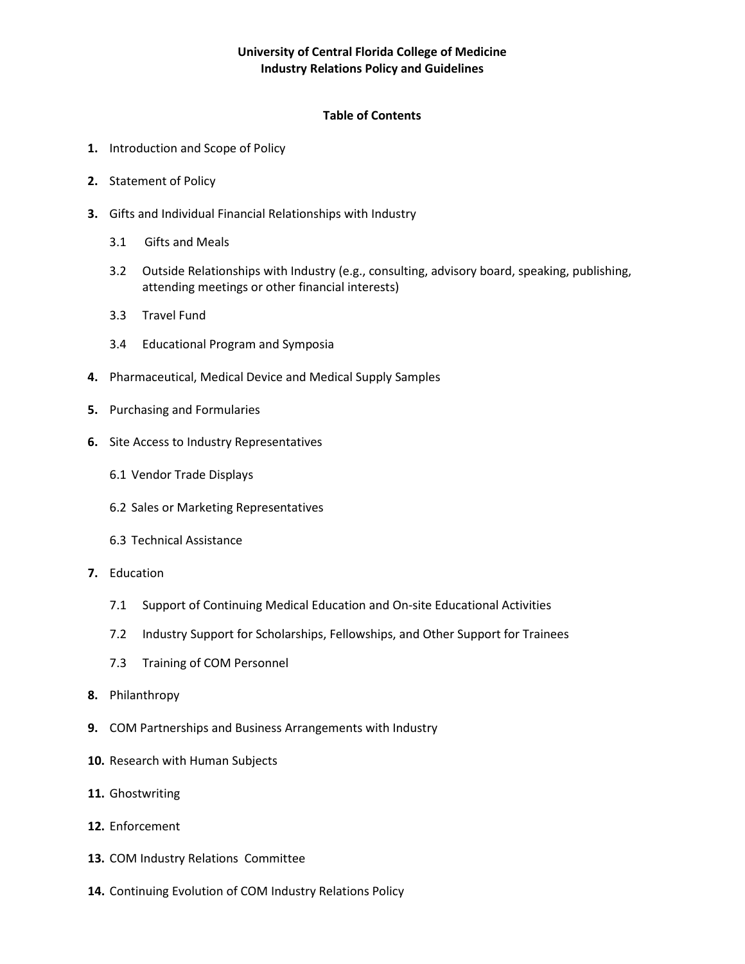# **University of Central Florida College of Medicine Industry Relations Policy and Guidelines**

# **Table of Contents**

- **1.** Introduction and Scope of Policy
- **2.** Statement of Policy
- **3.** Gifts and Individual Financial Relationships with Industry
	- 3.1 Gifts and Meals
	- 3.2 Outside Relationships with Industry (e.g., consulting, advisory board, speaking, publishing, attending meetings or other financial interests)
	- 3.3 Travel Fund
	- 3.4 Educational Program and Symposia
- **4.** Pharmaceutical, Medical Device and Medical Supply Samples
- **5.** Purchasing and Formularies
- **6.** Site Access to Industry Representatives
	- 6.1 Vendor Trade Displays
	- 6.2 Sales or Marketing Representatives
	- 6.3 Technical Assistance
- **7.** Education
	- 7.1 Support of Continuing Medical Education and On-site Educational Activities
	- 7.2 Industry Support for Scholarships, Fellowships, and Other Support for Trainees
	- 7.3 Training of COM Personnel
- **8.** Philanthropy
- **9.** COM Partnerships and Business Arrangements with Industry
- **10.** Research with Human Subjects
- **11.** Ghostwriting
- **12.** Enforcement
- **13.** COM Industry Relations Committee
- **14.** Continuing Evolution of COM Industry Relations Policy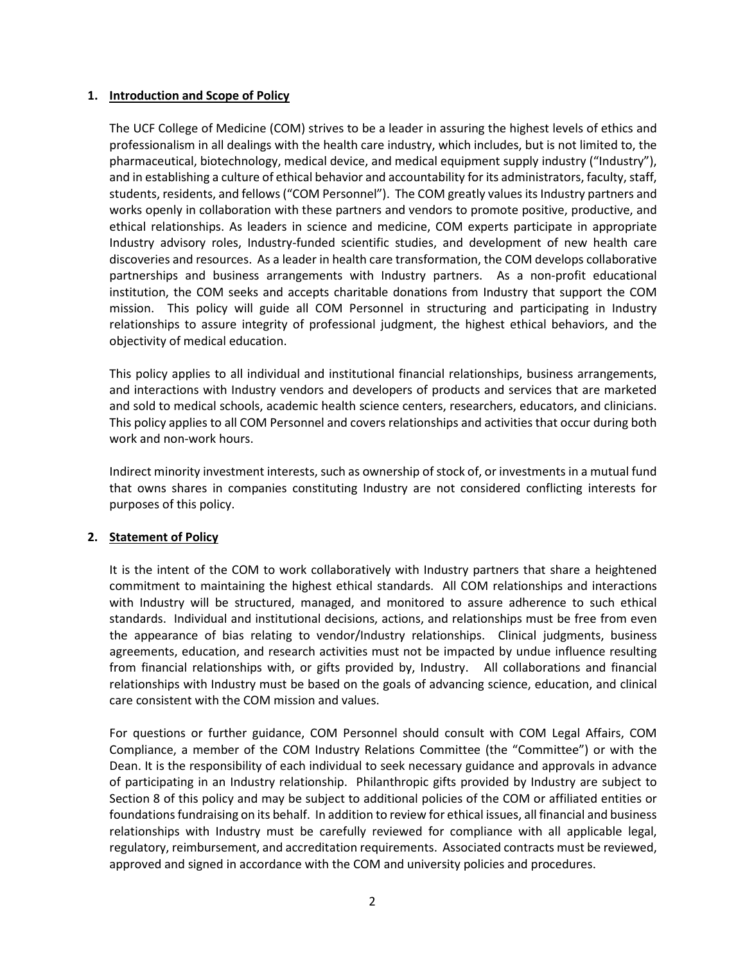### **1. Introduction and Scope of Policy**

The UCF College of Medicine (COM) strives to be a leader in assuring the highest levels of ethics and professionalism in all dealings with the health care industry, which includes, but is not limited to, the pharmaceutical, biotechnology, medical device, and medical equipment supply industry ("Industry"), and in establishing a culture of ethical behavior and accountability for its administrators, faculty, staff, students, residents, and fellows("COM Personnel"). The COM greatly values its Industry partners and works openly in collaboration with these partners and vendors to promote positive, productive, and ethical relationships. As leaders in science and medicine, COM experts participate in appropriate Industry advisory roles, Industry-funded scientific studies, and development of new health care discoveries and resources. As a leader in health care transformation, the COM develops collaborative partnerships and business arrangements with Industry partners. As a non-profit educational institution, the COM seeks and accepts charitable donations from Industry that support the COM mission. This policy will guide all COM Personnel in structuring and participating in Industry relationships to assure integrity of professional judgment, the highest ethical behaviors, and the objectivity of medical education.

This policy applies to all individual and institutional financial relationships, business arrangements, and interactions with Industry vendors and developers of products and services that are marketed and sold to medical schools, academic health science centers, researchers, educators, and clinicians. This policy applies to all COM Personnel and covers relationships and activities that occur during both work and non-work hours.

Indirect minority investment interests, such as ownership of stock of, or investments in a mutual fund that owns shares in companies constituting Industry are not considered conflicting interests for purposes of this policy.

# **2. Statement of Policy**

It is the intent of the COM to work collaboratively with Industry partners that share a heightened commitment to maintaining the highest ethical standards. All COM relationships and interactions with Industry will be structured, managed, and monitored to assure adherence to such ethical standards. Individual and institutional decisions, actions, and relationships must be free from even the appearance of bias relating to vendor/Industry relationships. Clinical judgments, business agreements, education, and research activities must not be impacted by undue influence resulting from financial relationships with, or gifts provided by, Industry. All collaborations and financial relationships with Industry must be based on the goals of advancing science, education, and clinical care consistent with the COM mission and values.

For questions or further guidance, COM Personnel should consult with COM Legal Affairs, COM Compliance, a member of the COM Industry Relations Committee (the "Committee") or with the Dean. It is the responsibility of each individual to seek necessary guidance and approvals in advance of participating in an Industry relationship. Philanthropic gifts provided by Industry are subject to Section 8 of this policy and may be subject to additional policies of the COM or affiliated entities or foundations fundraising on its behalf. In addition to review for ethical issues, all financial and business relationships with Industry must be carefully reviewed for compliance with all applicable legal, regulatory, reimbursement, and accreditation requirements. Associated contracts must be reviewed, approved and signed in accordance with the COM and university policies and procedures.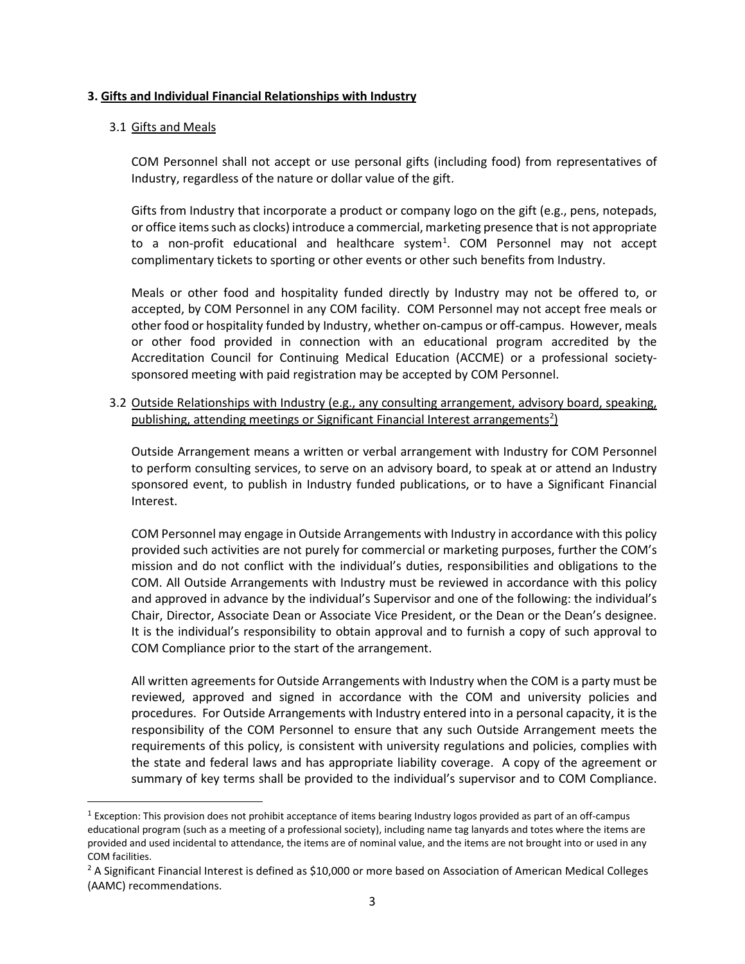### **3. Gifts and Individual Financial Relationships with Industry**

### 3.1 Gifts and Meals

COM Personnel shall not accept or use personal gifts (including food) from representatives of Industry, regardless of the nature or dollar value of the gift.

Gifts from Industry that incorporate a product or company logo on the gift (e.g., pens, notepads, or office items such as clocks) introduce a commercial, marketing presence that is not appropriate to a non-profit educational and healthcare system<sup>[1](#page-2-0)</sup>. COM Personnel may not accept complimentary tickets to sporting or other events or other such benefits from Industry.

Meals or other food and hospitality funded directly by Industry may not be offered to, or accepted, by COM Personnel in any COM facility. COM Personnel may not accept free meals or other food or hospitality funded by Industry, whether on-campus or off-campus. However, meals or other food provided in connection with an educational program accredited by the Accreditation Council for Continuing Medical Education (ACCME) or a professional societysponsored meeting with paid registration may be accepted by COM Personnel.

3.2 Outside Relationships with Industry (e.g., any consulting arrangement, advisory board, speaking, publishing, attending meetings or Significant Financial Interest arrangements<sup>[2](#page-2-1)</sup>)

Outside Arrangement means a written or verbal arrangement with Industry for COM Personnel to perform consulting services, to serve on an advisory board, to speak at or attend an Industry sponsored event, to publish in Industry funded publications, or to have a Significant Financial Interest.

COM Personnel may engage in Outside Arrangements with Industry in accordance with this policy provided such activities are not purely for commercial or marketing purposes, further the COM's mission and do not conflict with the individual's duties, responsibilities and obligations to the COM. All Outside Arrangements with Industry must be reviewed in accordance with this policy and approved in advance by the individual's Supervisor and one of the following: the individual's Chair, Director, Associate Dean or Associate Vice President, or the Dean or the Dean's designee. It is the individual's responsibility to obtain approval and to furnish a copy of such approval to COM Compliance prior to the start of the arrangement.

All written agreements for Outside Arrangements with Industry when the COM is a party must be reviewed, approved and signed in accordance with the COM and university policies and procedures. For Outside Arrangements with Industry entered into in a personal capacity, it is the responsibility of the COM Personnel to ensure that any such Outside Arrangement meets the requirements of this policy, is consistent with university regulations and policies, complies with the state and federal laws and has appropriate liability coverage. A copy of the agreement or summary of key terms shall be provided to the individual's supervisor and to COM Compliance.

<span id="page-2-0"></span> $1$  Exception: This provision does not prohibit acceptance of items bearing Industry logos provided as part of an off-campus educational program (such as a meeting of a professional society), including name tag lanyards and totes where the items are provided and used incidental to attendance, the items are of nominal value, and the items are not brought into or used in any COM facilities.

<span id="page-2-1"></span><sup>&</sup>lt;sup>2</sup> A Significant Financial Interest is defined as \$10,000 or more based on Association of American Medical Colleges (AAMC) recommendations.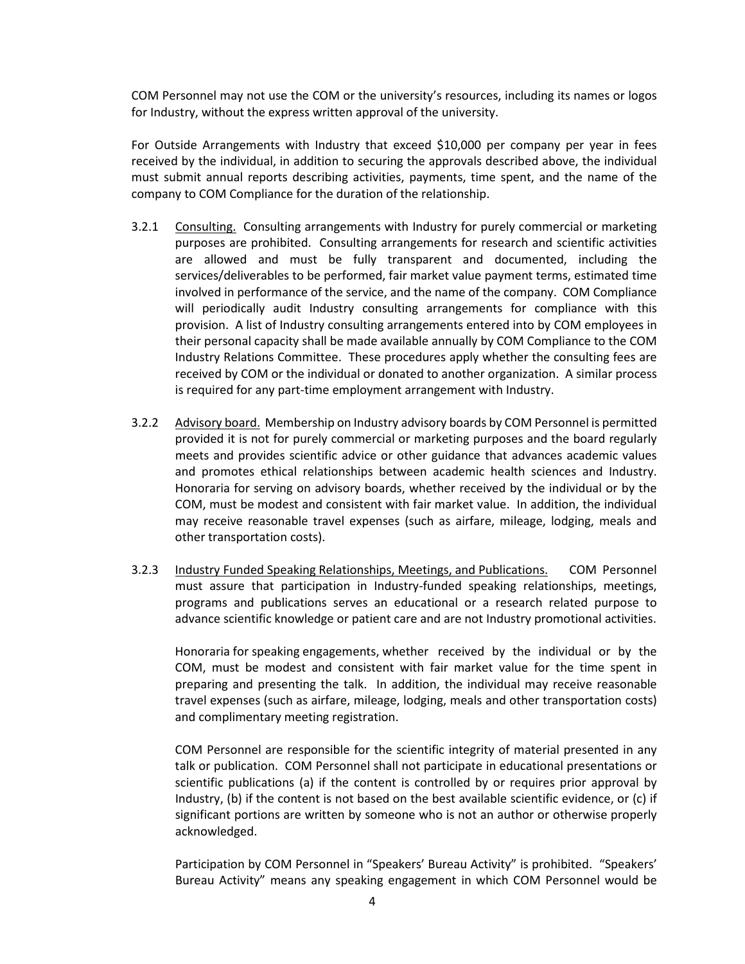COM Personnel may not use the COM or the university's resources, including its names or logos for Industry, without the express written approval of the university.

For Outside Arrangements with Industry that exceed \$10,000 per company per year in fees received by the individual, in addition to securing the approvals described above, the individual must submit annual reports describing activities, payments, time spent, and the name of the company to COM Compliance for the duration of the relationship.

- 3.2.1 Consulting. Consulting arrangements with Industry for purely commercial or marketing purposes are prohibited. Consulting arrangements for research and scientific activities are allowed and must be fully transparent and documented, including the services/deliverables to be performed, fair market value payment terms, estimated time involved in performance of the service, and the name of the company. COM Compliance will periodically audit Industry consulting arrangements for compliance with this provision. A list of Industry consulting arrangements entered into by COM employees in their personal capacity shall be made available annually by COM Compliance to the COM Industry Relations Committee. These procedures apply whether the consulting fees are received by COM or the individual or donated to another organization. A similar process is required for any part-time employment arrangement with Industry.
- 3.2.2 Advisory board. Membership on Industry advisory boards by COM Personnel is permitted provided it is not for purely commercial or marketing purposes and the board regularly meets and provides scientific advice or other guidance that advances academic values and promotes ethical relationships between academic health sciences and Industry. Honoraria for serving on advisory boards, whether received by the individual or by the COM, must be modest and consistent with fair market value. In addition, the individual may receive reasonable travel expenses (such as airfare, mileage, lodging, meals and other transportation costs).
- 3.2.3 Industry Funded Speaking Relationships, Meetings, and Publications. COM Personnel must assure that participation in Industry-funded speaking relationships, meetings, programs and publications serves an educational or a research related purpose to advance scientific knowledge or patient care and are not Industry promotional activities.

Honoraria for speaking engagements, whether received by the individual or by the COM, must be modest and consistent with fair market value for the time spent in preparing and presenting the talk. In addition, the individual may receive reasonable travel expenses (such as airfare, mileage, lodging, meals and other transportation costs) and complimentary meeting registration.

COM Personnel are responsible for the scientific integrity of material presented in any talk or publication. COM Personnel shall not participate in educational presentations or scientific publications (a) if the content is controlled by or requires prior approval by Industry, (b) if the content is not based on the best available scientific evidence, or (c) if significant portions are written by someone who is not an author or otherwise properly acknowledged.

Participation by COM Personnel in "Speakers' Bureau Activity" is prohibited. "Speakers' Bureau Activity" means any speaking engagement in which COM Personnel would be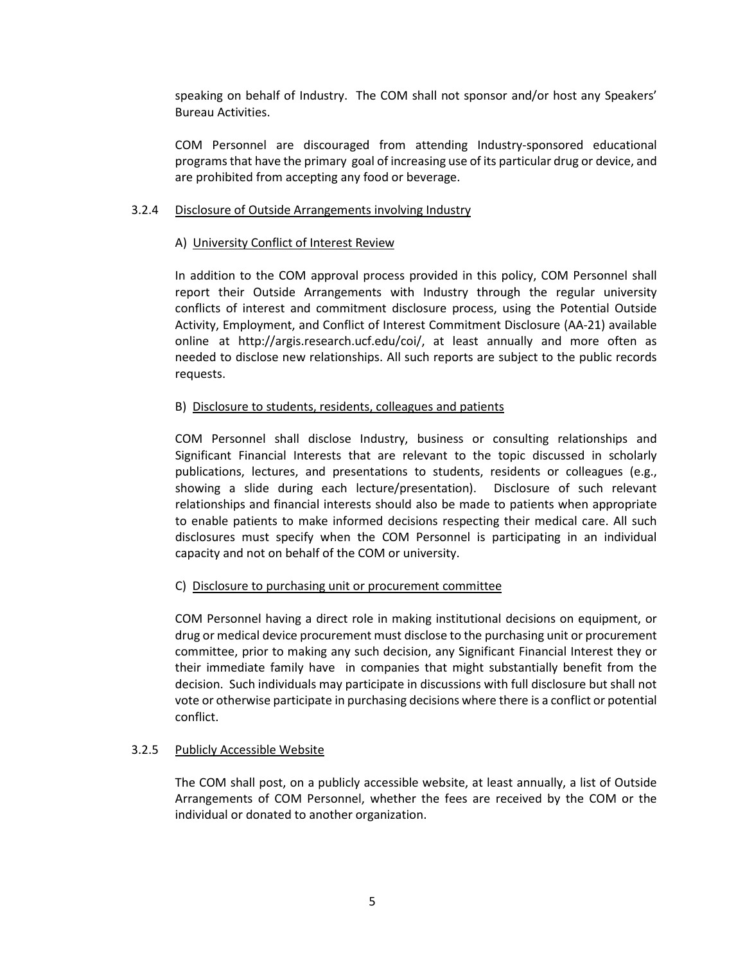speaking on behalf of Industry. The COM shall not sponsor and/or host any Speakers' Bureau Activities.

COM Personnel are discouraged from attending Industry-sponsored educational programs that have the primary goal of increasing use of its particular drug or device, and are prohibited from accepting any food or beverage.

# 3.2.4 Disclosure of Outside Arrangements involving Industry

### A) University Conflict of Interest Review

In addition to the COM approval process provided in this policy, COM Personnel shall report their Outside Arrangements with Industry through the regular university conflicts of interest and commitment disclosure process, using the Potential Outside Activity, Employment, and Conflict of Interest Commitment Disclosure (AA-21) available online at http://argis.research.ucf.edu/coi/, at least annually and more often as needed to disclose new relationships. All such reports are subject to the public records requests.

### B) Disclosure to students, residents, colleagues and patients

COM Personnel shall disclose Industry, business or consulting relationships and Significant Financial Interests that are relevant to the topic discussed in scholarly publications, lectures, and presentations to students, residents or colleagues (e.g., showing a slide during each lecture/presentation). Disclosure of such relevant relationships and financial interests should also be made to patients when appropriate to enable patients to make informed decisions respecting their medical care. All such disclosures must specify when the COM Personnel is participating in an individual capacity and not on behalf of the COM or university.

# C) Disclosure to purchasing unit or procurement committee

COM Personnel having a direct role in making institutional decisions on equipment, or drug or medical device procurement must disclose to the purchasing unit or procurement committee, prior to making any such decision, any Significant Financial Interest they or their immediate family have in companies that might substantially benefit from the decision. Such individuals may participate in discussions with full disclosure but shall not vote or otherwise participate in purchasing decisions where there is a conflict or potential conflict.

# 3.2.5 Publicly Accessible Website

The COM shall post, on a publicly accessible website, at least annually, a list of Outside Arrangements of COM Personnel, whether the fees are received by the COM or the individual or donated to another organization.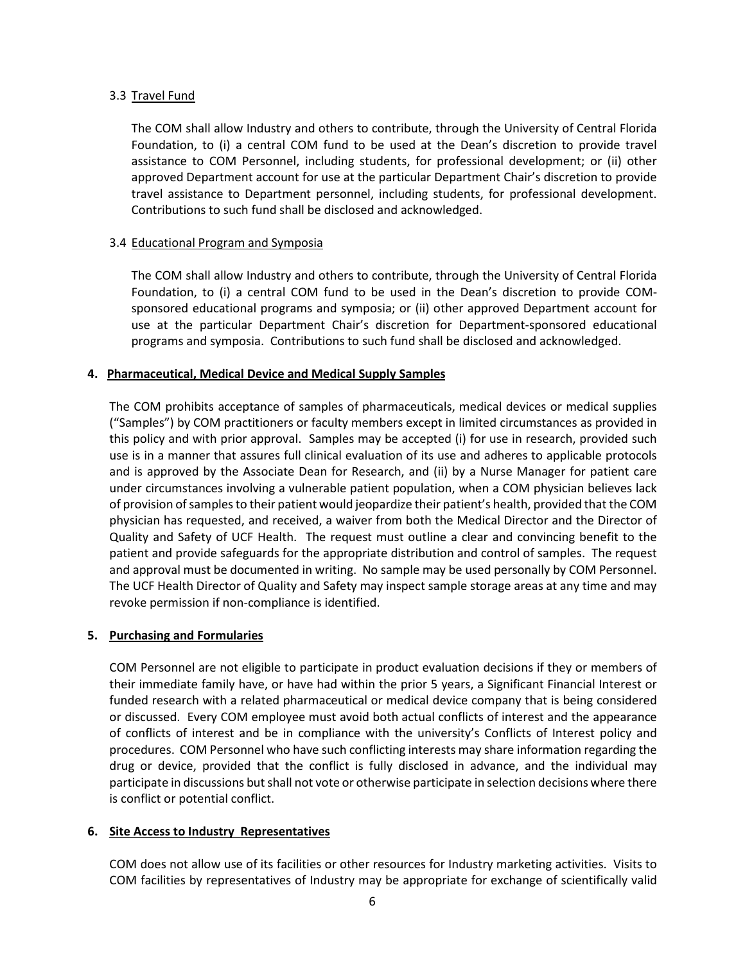# 3.3 Travel Fund

The COM shall allow Industry and others to contribute, through the University of Central Florida Foundation, to (i) a central COM fund to be used at the Dean's discretion to provide travel assistance to COM Personnel, including students, for professional development; or (ii) other approved Department account for use at the particular Department Chair's discretion to provide travel assistance to Department personnel, including students, for professional development. Contributions to such fund shall be disclosed and acknowledged.

### 3.4 Educational Program and Symposia

The COM shall allow Industry and others to contribute, through the University of Central Florida Foundation, to (i) a central COM fund to be used in the Dean's discretion to provide COMsponsored educational programs and symposia; or (ii) other approved Department account for use at the particular Department Chair's discretion for Department-sponsored educational programs and symposia. Contributions to such fund shall be disclosed and acknowledged.

### **4. Pharmaceutical, Medical Device and Medical Supply Samples**

The COM prohibits acceptance of samples of pharmaceuticals, medical devices or medical supplies ("Samples") by COM practitioners or faculty members except in limited circumstances as provided in this policy and with prior approval. Samples may be accepted (i) for use in research, provided such use is in a manner that assures full clinical evaluation of its use and adheres to applicable protocols and is approved by the Associate Dean for Research, and (ii) by a Nurse Manager for patient care under circumstances involving a vulnerable patient population, when a COM physician believes lack of provision of samples to their patient would jeopardize their patient's health, provided that the COM physician has requested, and received, a waiver from both the Medical Director and the Director of Quality and Safety of UCF Health. The request must outline a clear and convincing benefit to the patient and provide safeguards for the appropriate distribution and control of samples. The request and approval must be documented in writing. No sample may be used personally by COM Personnel. The UCF Health Director of Quality and Safety may inspect sample storage areas at any time and may revoke permission if non-compliance is identified.

# **5. Purchasing and Formularies**

COM Personnel are not eligible to participate in product evaluation decisions if they or members of their immediate family have, or have had within the prior 5 years, a Significant Financial Interest or funded research with a related pharmaceutical or medical device company that is being considered or discussed. Every COM employee must avoid both actual conflicts of interest and the appearance of conflicts of interest and be in compliance with the university's Conflicts of Interest policy and procedures. COM Personnel who have such conflicting interests may share information regarding the drug or device, provided that the conflict is fully disclosed in advance, and the individual may participate in discussions but shall not vote or otherwise participate in selection decisions where there is conflict or potential conflict.

# **6. Site Access to Industry Representatives**

COM does not allow use of its facilities or other resources for Industry marketing activities. Visits to COM facilities by representatives of Industry may be appropriate for exchange of scientifically valid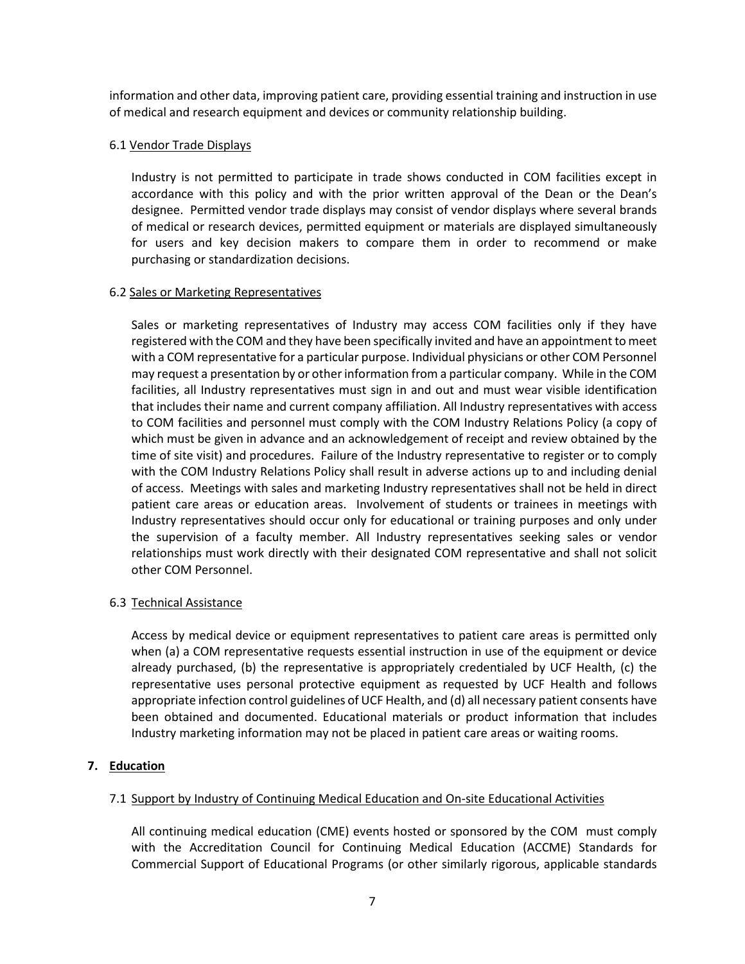information and other data, improving patient care, providing essential training and instruction in use of medical and research equipment and devices or community relationship building.

# 6.1 Vendor Trade Displays

Industry is not permitted to participate in trade shows conducted in COM facilities except in accordance with this policy and with the prior written approval of the Dean or the Dean's designee. Permitted vendor trade displays may consist of vendor displays where several brands of medical or research devices, permitted equipment or materials are displayed simultaneously for users and key decision makers to compare them in order to recommend or make purchasing or standardization decisions.

# 6.2 Sales or Marketing Representatives

Sales or marketing representatives of Industry may access COM facilities only if they have registered with the COM and they have been specifically invited and have an appointment to meet with a COM representative for a particular purpose. Individual physicians or other COM Personnel may request a presentation by or other information from a particular company. While in the COM facilities, all Industry representatives must sign in and out and must wear visible identification that includes their name and current company affiliation. All Industry representatives with access to COM facilities and personnel must comply with the COM Industry Relations Policy (a copy of which must be given in advance and an acknowledgement of receipt and review obtained by the time of site visit) and procedures. Failure of the Industry representative to register or to comply with the COM Industry Relations Policy shall result in adverse actions up to and including denial of access. Meetings with sales and marketing Industry representatives shall not be held in direct patient care areas or education areas. Involvement of students or trainees in meetings with Industry representatives should occur only for educational or training purposes and only under the supervision of a faculty member. All Industry representatives seeking sales or vendor relationships must work directly with their designated COM representative and shall not solicit other COM Personnel.

# 6.3 Technical Assistance

Access by medical device or equipment representatives to patient care areas is permitted only when (a) a COM representative requests essential instruction in use of the equipment or device already purchased, (b) the representative is appropriately credentialed by UCF Health, (c) the representative uses personal protective equipment as requested by UCF Health and follows appropriate infection control guidelines of UCF Health, and (d) all necessary patient consents have been obtained and documented. Educational materials or product information that includes Industry marketing information may not be placed in patient care areas or waiting rooms.

# **7. Education**

# 7.1 Support by Industry of Continuing Medical Education and On-site Educational Activities

All continuing medical education (CME) events hosted or sponsored by the COM must comply with the Accreditation Council for Continuing Medical Education (ACCME) Standards for Commercial Support of Educational Programs (or other similarly rigorous, applicable standards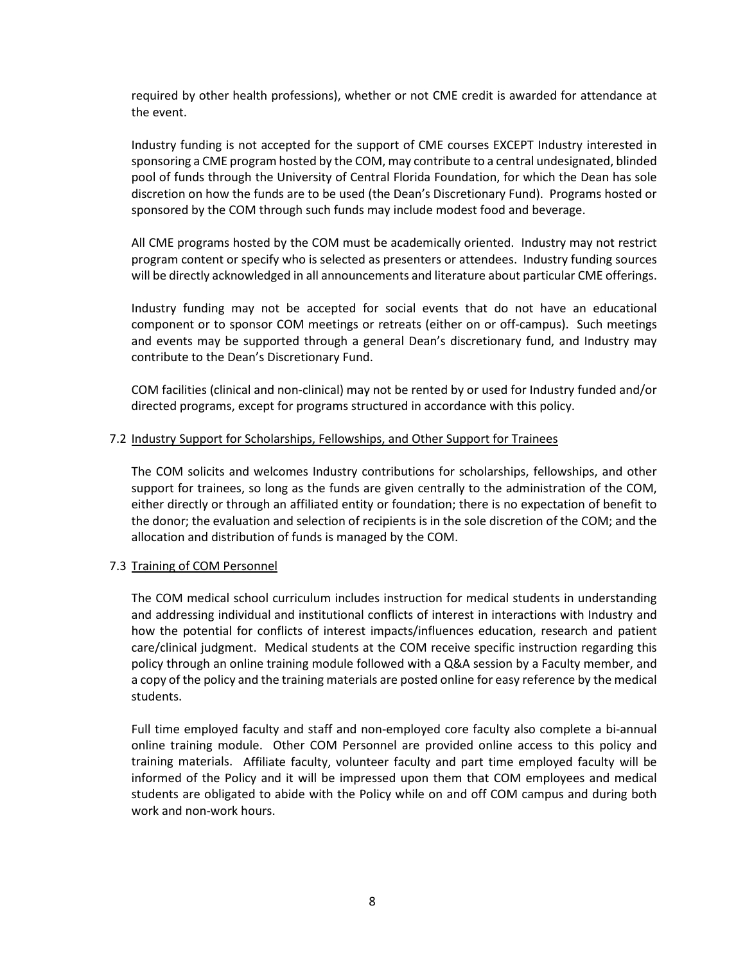required by other health professions), whether or not CME credit is awarded for attendance at the event.

Industry funding is not accepted for the support of CME courses EXCEPT Industry interested in sponsoring a CME program hosted by the COM, may contribute to a central undesignated, blinded pool of funds through the University of Central Florida Foundation, for which the Dean has sole discretion on how the funds are to be used (the Dean's Discretionary Fund). Programs hosted or sponsored by the COM through such funds may include modest food and beverage.

All CME programs hosted by the COM must be academically oriented. Industry may not restrict program content or specify who is selected as presenters or attendees. Industry funding sources will be directly acknowledged in all announcements and literature about particular CME offerings.

Industry funding may not be accepted for social events that do not have an educational component or to sponsor COM meetings or retreats (either on or off-campus). Such meetings and events may be supported through a general Dean's discretionary fund, and Industry may contribute to the Dean's Discretionary Fund.

COM facilities (clinical and non-clinical) may not be rented by or used for Industry funded and/or directed programs, except for programs structured in accordance with this policy.

# 7.2 Industry Support for Scholarships, Fellowships, and Other Support for Trainees

The COM solicits and welcomes Industry contributions for scholarships, fellowships, and other support for trainees, so long as the funds are given centrally to the administration of the COM, either directly or through an affiliated entity or foundation; there is no expectation of benefit to the donor; the evaluation and selection of recipients is in the sole discretion of the COM; and the allocation and distribution of funds is managed by the COM.

#### 7.3 Training of COM Personnel

The COM medical school curriculum includes instruction for medical students in understanding and addressing individual and institutional conflicts of interest in interactions with Industry and how the potential for conflicts of interest impacts/influences education, research and patient care/clinical judgment. Medical students at the COM receive specific instruction regarding this policy through an online training module followed with a Q&A session by a Faculty member, and a copy of the policy and the training materials are posted online for easy reference by the medical students.

Full time employed faculty and staff and non-employed core faculty also complete a bi-annual online training module. Other COM Personnel are provided online access to this policy and training materials. Affiliate faculty, volunteer faculty and part time employed faculty will be informed of the Policy and it will be impressed upon them that COM employees and medical students are obligated to abide with the Policy while on and off COM campus and during both work and non-work hours.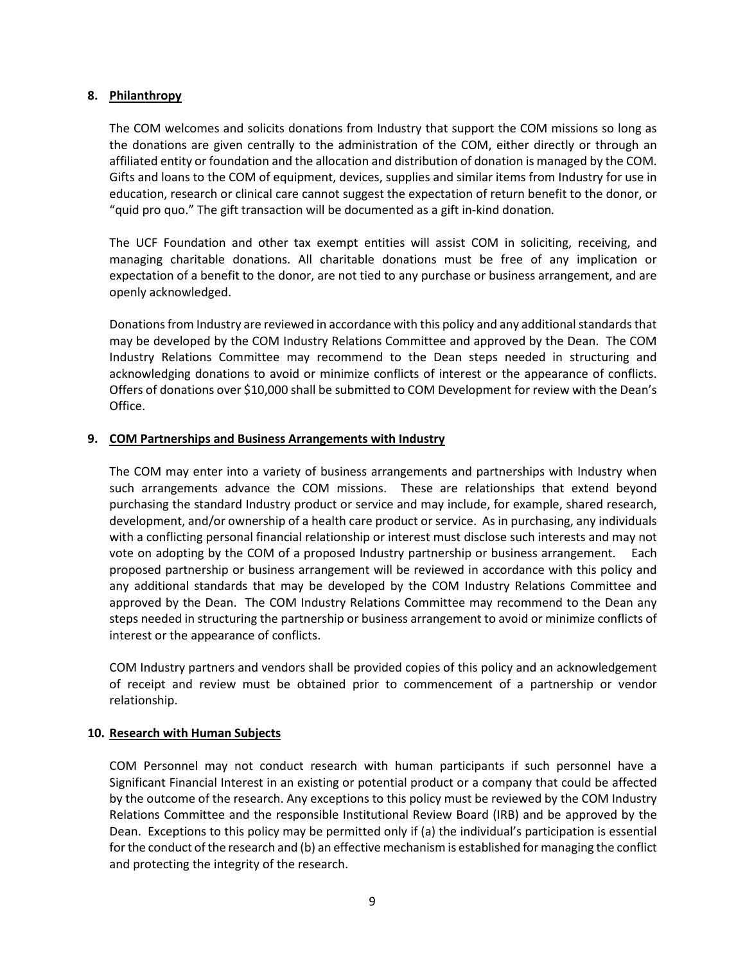### **8. Philanthropy**

The COM welcomes and solicits donations from Industry that support the COM missions so long as the donations are given centrally to the administration of the COM, either directly or through an affiliated entity or foundation and the allocation and distribution of donation is managed by the COM. Gifts and loans to the COM of equipment, devices, supplies and similar items from Industry for use in education, research or clinical care cannot suggest the expectation of return benefit to the donor, or "quid pro quo." The gift transaction will be documented as a gift in-kind donation*.* 

The UCF Foundation and other tax exempt entities will assist COM in soliciting, receiving, and managing charitable donations. All charitable donations must be free of any implication or expectation of a benefit to the donor, are not tied to any purchase or business arrangement, and are openly acknowledged.

Donationsfrom Industry are reviewed in accordance with this policy and any additional standards that may be developed by the COM Industry Relations Committee and approved by the Dean. The COM Industry Relations Committee may recommend to the Dean steps needed in structuring and acknowledging donations to avoid or minimize conflicts of interest or the appearance of conflicts. Offers of donations over \$10,000 shall be submitted to COM Development for review with the Dean's Office.

# **9. COM Partnerships and Business Arrangements with Industry**

The COM may enter into a variety of business arrangements and partnerships with Industry when such arrangements advance the COM missions. These are relationships that extend beyond purchasing the standard Industry product or service and may include, for example, shared research, development, and/or ownership of a health care product or service. As in purchasing, any individuals with a conflicting personal financial relationship or interest must disclose such interests and may not vote on adopting by the COM of a proposed Industry partnership or business arrangement. Each proposed partnership or business arrangement will be reviewed in accordance with this policy and any additional standards that may be developed by the COM Industry Relations Committee and approved by the Dean. The COM Industry Relations Committee may recommend to the Dean any steps needed in structuring the partnership or business arrangement to avoid or minimize conflicts of interest or the appearance of conflicts.

COM Industry partners and vendors shall be provided copies of this policy and an acknowledgement of receipt and review must be obtained prior to commencement of a partnership or vendor relationship.

# **10. Research with Human Subjects**

COM Personnel may not conduct research with human participants if such personnel have a Significant Financial Interest in an existing or potential product or a company that could be affected by the outcome of the research. Any exceptions to this policy must be reviewed by the COM Industry Relations Committee and the responsible Institutional Review Board (IRB) and be approved by the Dean. Exceptions to this policy may be permitted only if (a) the individual's participation is essential for the conduct of the research and (b) an effective mechanism is established for managing the conflict and protecting the integrity of the research.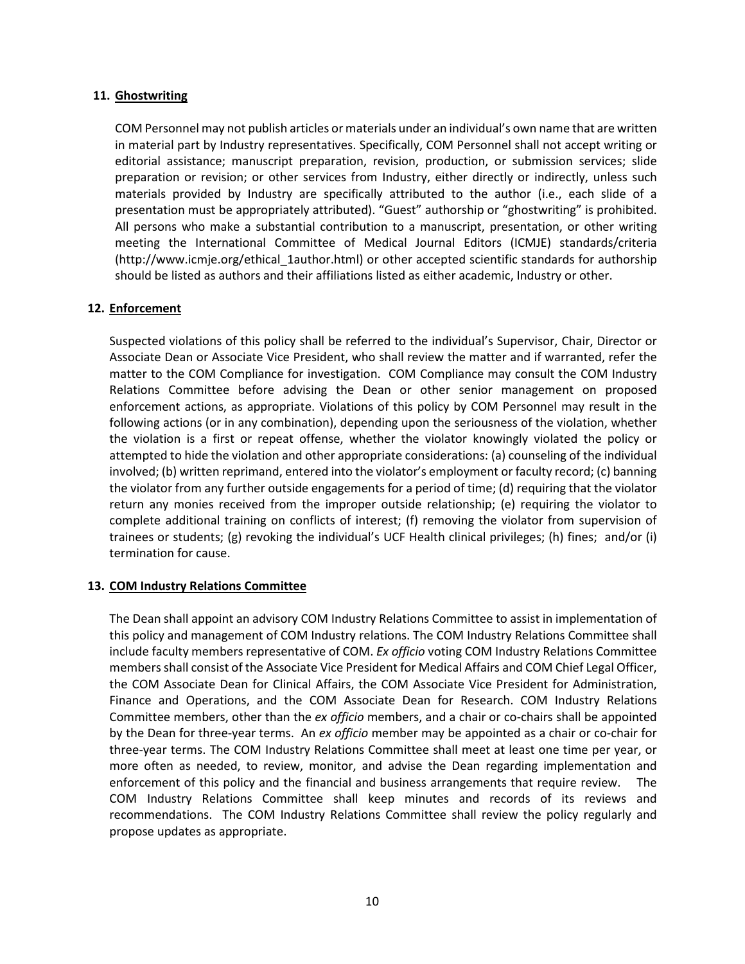### **11. Ghostwriting**

COM Personnel may not publish articles or materials under an individual's own name that are written in material part by Industry representatives. Specifically, COM Personnel shall not accept writing or editorial assistance; manuscript preparation, revision, production, or submission services; slide preparation or revision; or other services from Industry, either directly or indirectly, unless such materials provided by Industry are specifically attributed to the author (i.e., each slide of a presentation must be appropriately attributed). "Guest" authorship or "ghostwriting" is prohibited. All persons who make a substantial contribution to a manuscript, presentation, or other writing meeting the International Committee of Medical Journal Editors (ICMJE) standards/criteria (http://www.icmje.org/ethical\_1author.html) or other accepted scientific standards for authorship should be listed as authors and their affiliations listed as either academic, Industry or other.

# **12. Enforcement**

Suspected violations of this policy shall be referred to the individual's Supervisor, Chair, Director or Associate Dean or Associate Vice President, who shall review the matter and if warranted, refer the matter to the COM Compliance for investigation. COM Compliance may consult the COM Industry Relations Committee before advising the Dean or other senior management on proposed enforcement actions, as appropriate. Violations of this policy by COM Personnel may result in the following actions (or in any combination), depending upon the seriousness of the violation, whether the violation is a first or repeat offense, whether the violator knowingly violated the policy or attempted to hide the violation and other appropriate considerations: (a) counseling of the individual involved; (b) written reprimand, entered into the violator's employment or faculty record; (c) banning the violator from any further outside engagements for a period of time; (d) requiring that the violator return any monies received from the improper outside relationship; (e) requiring the violator to complete additional training on conflicts of interest; (f) removing the violator from supervision of trainees or students; (g) revoking the individual's UCF Health clinical privileges; (h) fines; and/or (i) termination for cause.

#### **13. COM Industry Relations Committee**

The Dean shall appoint an advisory COM Industry Relations Committee to assist in implementation of this policy and management of COM Industry relations. The COM Industry Relations Committee shall include faculty members representative of COM. *Ex officio* voting COM Industry Relations Committee members shall consist of the Associate Vice President for Medical Affairs and COM Chief Legal Officer, the COM Associate Dean for Clinical Affairs, the COM Associate Vice President for Administration, Finance and Operations, and the COM Associate Dean for Research. COM Industry Relations Committee members, other than the *ex officio* members, and a chair or co-chairs shall be appointed by the Dean for three-year terms. An *ex officio* member may be appointed as a chair or co-chair for three-year terms. The COM Industry Relations Committee shall meet at least one time per year, or more often as needed, to review, monitor, and advise the Dean regarding implementation and enforcement of this policy and the financial and business arrangements that require review. The COM Industry Relations Committee shall keep minutes and records of its reviews and recommendations. The COM Industry Relations Committee shall review the policy regularly and propose updates as appropriate.